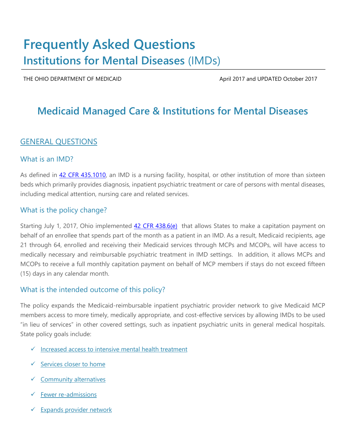# **Frequently Asked Questions Institutions for Mental Diseases** (IMDs)

THE OHIO DEPARTMENT OF MEDICAID **April 2017** April 2017 and UPDATED October 2017

## **Medicaid Managed Care & Institutions for Mental Diseases**

### GENERAL QUESTIONS

#### What is an IMD?

As defined in [42 CFR 435.1010,](https://www.ecfr.gov/cgi-bin/text-idx?SID=1fe5b7b29fcff2038cdf7ca95ab90f73&mc=true&node=pt42.4.435&rgn=div5#se42.4.435_11010) an IMD is a nursing facility, hospital, or other institution of more than sixteen beds which primarily provides diagnosis, inpatient psychiatric treatment or care of persons with mental diseases, including medical attention, nursing care and related services.

#### What is the policy change?

Starting July 1, 2017, Ohio implemented [42 CFR 438.6\(e\)](https://www.ecfr.gov/cgi-bin/text-idx?SID=3632bccc36755a9e8fd07de781cc5907&mc=true&node=pt42.4.438&rgn=div5#se42.4.438_16) that allows States to make a capitation payment on behalf of an enrollee that spends part of the month as a patient in an IMD. As a result, Medicaid recipients, age 21 through 64, enrolled and receiving their Medicaid services through MCPs and MCOPs, will have access to medically necessary and reimbursable psychiatric treatment in IMD settings. In addition, it allows MCPs and MCOPs to receive a full monthly capitation payment on behalf of MCP members if stays do not exceed fifteen (15) days in any calendar month.

#### What is the intended outcome of this policy?

The policy expands the Medicaid-reimbursable inpatient psychiatric provider network to give Medicaid MCP members access to more timely, medically appropriate, and cost-effective services by allowing IMDs to be used "in lieu of services" in other covered settings, such as inpatient psychiatric units in general medical hospitals. State policy goals include:

- $\checkmark$  Increased access to intensive mental health treatment
- $\checkmark$  Services closer to home
- Community alternatives
- Fewer re-admissions
- $\checkmark$  Expands provider network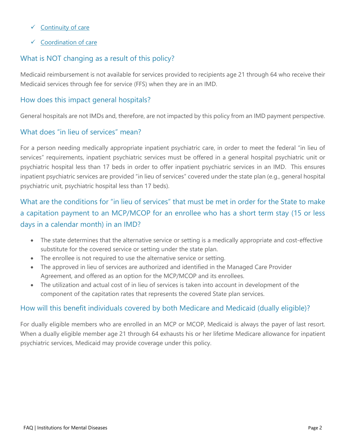- $\checkmark$  Continuity of care
- $\checkmark$  Coordination of care

### What is NOT changing as a result of this policy?

Medicaid reimbursement is not available for services provided to recipients age 21 through 64 who receive their Medicaid services through fee for service (FFS) when they are in an IMD.

### How does this impact general hospitals?

General hospitals are not IMDs and, therefore, are not impacted by this policy from an IMD payment perspective.

### What does "in lieu of services" mean?

For a person needing medically appropriate inpatient psychiatric care, in order to meet the federal "in lieu of services" requirements, inpatient psychiatric services must be offered in a general hospital psychiatric unit or psychiatric hospital less than 17 beds in order to offer inpatient psychiatric services in an IMD. This ensures inpatient psychiatric services are provided "in lieu of services" covered under the state plan (e.g., general hospital psychiatric unit, psychiatric hospital less than 17 beds).

### What are the conditions for "in lieu of services" that must be met in order for the State to make a capitation payment to an MCP/MCOP for an enrollee who has a short term stay (15 or less days in a calendar month) in an IMD?

- The state determines that the alternative service or setting is a medically appropriate and cost-effective substitute for the covered service or setting under the state plan.
- The enrollee is not required to use the alternative service or setting.
- The approved in lieu of services are authorized and identified in the Managed Care Provider Agreement, and offered as an option for the MCP/MCOP and its enrollees.
- The utilization and actual cost of in lieu of services is taken into account in development of the component of the capitation rates that represents the covered State plan services.

### How will this benefit individuals covered by both Medicare and Medicaid (dually eligible)?

For dually eligible members who are enrolled in an MCP or MCOP, Medicaid is always the payer of last resort. When a dually eligible member age 21 through 64 exhausts his or her lifetime Medicare allowance for inpatient psychiatric services, Medicaid may provide coverage under this policy.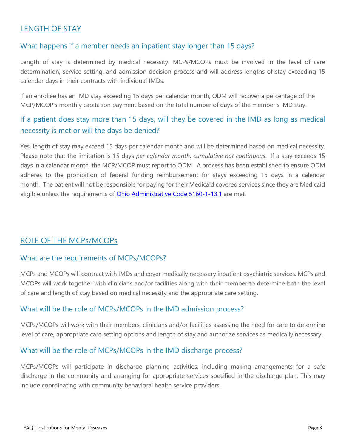### LENGTH OF STAY

### What happens if a member needs an inpatient stay longer than 15 days?

Length of stay is determined by medical necessity. MCPs/MCOPs must be involved in the level of care determination, service setting, and admission decision process and will address lengths of stay exceeding 15 calendar days in their contracts with individual IMDs.

If an enrollee has an IMD stay exceeding 15 days per calendar month, ODM will recover a percentage of the MCP/MCOP's monthly capitation payment based on the total number of days of the member's IMD stay.

### If a patient does stay more than 15 days, will they be covered in the IMD as long as medical necessity is met or will the days be denied?

Yes, length of stay may exceed 15 days per calendar month and will be determined based on medical necessity. Please note that the limitation is 15 days *per calendar month, cumulative not continuous*. If a stay exceeds 15 days in a calendar month, the MCP/MCOP must report to ODM. A process has been established to ensure ODM adheres to the prohibition of federal funding reimbursement for stays exceeding 15 days in a calendar month. The patient will not be responsible for paying for their Medicaid covered services since they are Medicaid eligible unless the requirements of **Ohio Administrative Code 5160-1-13.1** are met.

### ROLE OF THE MCPs/MCOPs

#### What are the requirements of MCPs/MCOPs?

MCPs and MCOPs will contract with IMDs and cover medically necessary inpatient psychiatric services. MCPs and MCOPs will work together with clinicians and/or facilities along with their member to determine both the level of care and length of stay based on medical necessity and the appropriate care setting.

#### What will be the role of MCPs/MCOPs in the IMD admission process?

MCPs/MCOPs will work with their members, clinicians and/or facilities assessing the need for care to determine level of care, appropriate care setting options and length of stay and authorize services as medically necessary.

#### What will be the role of MCPs/MCOPs in the IMD discharge process?

MCPs/MCOPs will participate in discharge planning activities, including making arrangements for a safe discharge in the community and arranging for appropriate services specified in the discharge plan. This may include coordinating with community behavioral health service providers.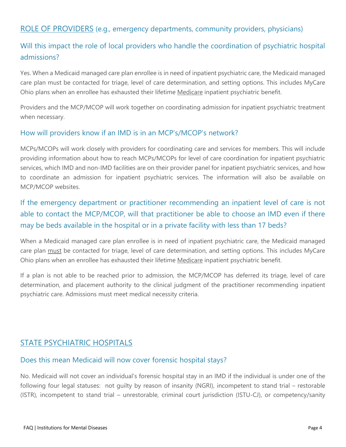### ROLE OF PROVIDERS (e.g., emergency departments, community providers, physicians)

### Will this impact the role of local providers who handle the coordination of psychiatric hospital admissions?

Yes. When a Medicaid managed care plan enrollee is in need of inpatient psychiatric care, the Medicaid managed care plan must be contacted for triage, level of care determination, and setting options. This includes MyCare Ohio plans when an enrollee has exhausted their lifetime Medicare inpatient psychiatric benefit.

Providers and the MCP/MCOP will work together on coordinating admission for inpatient psychiatric treatment when necessary.

#### How will providers know if an IMD is in an MCP's/MCOP's network?

MCPs/MCOPs will work closely with providers for coordinating care and services for members. This will include providing information about how to reach MCPs/MCOPs for level of care coordination for inpatient psychiatric services, which IMD and non-IMD facilities are on their provider panel for inpatient psychiatric services, and how to coordinate an admission for inpatient psychiatric services. The information will also be available on MCP/MCOP websites.

### If the emergency department or practitioner recommending an inpatient level of care is not able to contact the MCP/MCOP, will that practitioner be able to choose an IMD even if there may be beds available in the hospital or in a private facility with less than 17 beds?

When a Medicaid managed care plan enrollee is in need of inpatient psychiatric care, the Medicaid managed care plan must be contacted for triage, level of care determination, and setting options. This includes MyCare Ohio plans when an enrollee has exhausted their lifetime Medicare inpatient psychiatric benefit.

If a plan is not able to be reached prior to admission, the MCP/MCOP has deferred its triage, level of care determination, and placement authority to the clinical judgment of the practitioner recommending inpatient psychiatric care. Admissions must meet medical necessity criteria.

### STATE PSYCHIATRIC HOSPITALS

#### Does this mean Medicaid will now cover forensic hospital stays?

No. Medicaid will not cover an individual's forensic hospital stay in an IMD if the individual is under one of the following four legal statuses: not guilty by reason of insanity (NGRI), incompetent to stand trial – restorable (ISTR), incompetent to stand trial – unrestorable, criminal court jurisdiction (ISTU-CJ), or competency/sanity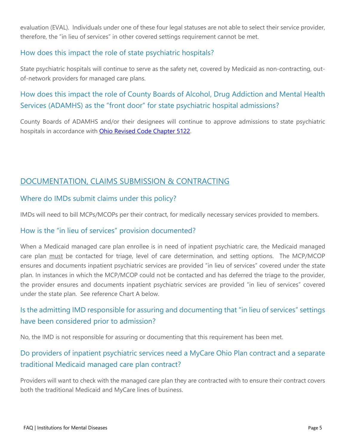evaluation (EVAL). Individuals under one of these four legal statuses are not able to select their service provider, therefore, the "in lieu of services" in other covered settings requirement cannot be met.

### How does this impact the role of state psychiatric hospitals?

State psychiatric hospitals will continue to serve as the safety net, covered by Medicaid as non-contracting, outof-network providers for managed care plans.

### How does this impact the role of County Boards of Alcohol, Drug Addiction and Mental Health Services (ADAMHS) as the "front door" for state psychiatric hospital admissions?

County Boards of ADAMHS and/or their designees will continue to approve admissions to state psychiatric hospitals in accordance with [Ohio Revised Code Chapter 5122.](http://codes.ohio.gov/orc/5122)

### DOCUMENTATION, CLAIMS SUBMISSION & CONTRACTING

### Where do IMDs submit claims under this policy?

IMDs will need to bill MCPs/MCOPs per their contract, for medically necessary services provided to members.

### How is the "in lieu of services" provision documented?

When a Medicaid managed care plan enrollee is in need of inpatient psychiatric care, the Medicaid managed care plan must be contacted for triage, level of care determination, and setting options. The MCP/MCOP ensures and documents inpatient psychiatric services are provided "in lieu of services" covered under the state plan. In instances in which the MCP/MCOP could not be contacted and has deferred the triage to the provider, the provider ensures and documents inpatient psychiatric services are provided "in lieu of services" covered under the state plan. See reference Chart A below.

### Is the admitting IMD responsible for assuring and documenting that "in lieu of services" settings have been considered prior to admission?

No, the IMD is not responsible for assuring or documenting that this requirement has been met.

### Do providers of inpatient psychiatric services need a MyCare Ohio Plan contract and a separate traditional Medicaid managed care plan contract?

Providers will want to check with the managed care plan they are contracted with to ensure their contract covers both the traditional Medicaid and MyCare lines of business.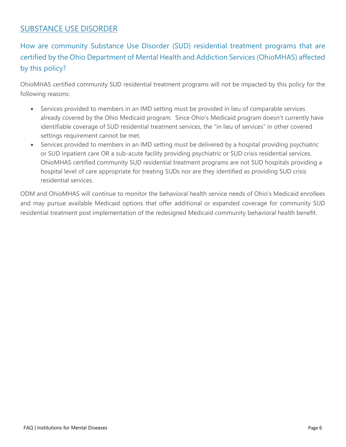### SUBSTANCE USE DISORDER

### How are community Substance Use Disorder (SUD) residential treatment programs that are certified by the Ohio Department of Mental Health and Addiction Services (OhioMHAS) affected by this policy?

OhioMHAS certified community SUD residential treatment programs will not be impacted by this policy for the following reasons:

- Services provided to members in an IMD setting must be provided in lieu of comparable services already covered by the Ohio Medicaid program. Since Ohio's Medicaid program doesn't currently have identifiable coverage of SUD residential treatment services, the "in lieu of services" in other covered settings requirement cannot be met.
- Services provided to members in an IMD setting must be delivered by a hospital providing psychiatric or SUD inpatient care OR a sub-acute facility providing psychiatric or SUD crisis residential services. OhioMHAS certified community SUD residential treatment programs are not SUD hospitals providing a hospital level of care appropriate for treating SUDs nor are they identified as providing SUD crisis residential services.

ODM and OhioMHAS will continue to monitor the behavioral health service needs of Ohio's Medicaid enrollees and may pursue available Medicaid options that offer additional or expanded coverage for community SUD residential treatment post implementation of the redesigned Medicaid community behavioral health benefit.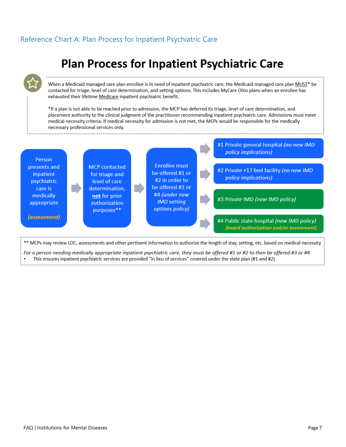### Reference Chart A: Plan Process for Inpatient Psychiatric Care

# **Plan Process for Inpatient Psychiatric Care**

When a Medicaid managed care plan enrollee is in need of inpatient psychiatric care, the Medicaid managed care plan MUST\* be contacted for triage, level of care determination, and setting options. This includes MyCare Ohio plans when an enrollee has exhausted their lifetime Medicare inpatient psychiatric benefit.

\*If a plan is not able to be reached prior to admission, the MCP has deferred its triage, level of care determination, and placement authority to the clinical judgment of the practitioner recommending inpatient psychiatric care. Admissions must meet medical necessity criteria. If medical necessity for admission is not met, the MCPs would be responsible for the medically necessary professional services only.

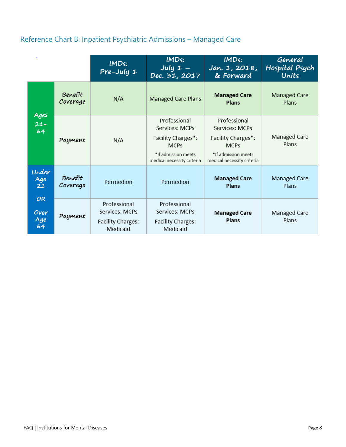### Reference Chart B: Inpatient Psychiatric Admissions – Managed Care

|                          |                     | IMD <sub>s</sub> :<br>$Pre$ -July 1                             | IMDs:<br>July $1 -$<br>Dec. 31, 2017                                                                                     | IMDs:<br>Jan. 1, 2018,<br>& Forward                                                                                      | General<br>Hospital Psych<br>Units |
|--------------------------|---------------------|-----------------------------------------------------------------|--------------------------------------------------------------------------------------------------------------------------|--------------------------------------------------------------------------------------------------------------------------|------------------------------------|
|                          | Benefit<br>Coverage | N/A                                                             | <b>Managed Care Plans</b>                                                                                                | <b>Managed Care</b><br>Plans                                                                                             | Managed Care<br>Plans              |
| Ages<br>$21 -$<br>64     | Payment             | N/A                                                             | Professional<br>Services: MCPs<br>Facility Charges*:<br><b>MCPs</b><br>*If admission meets<br>medical necessity criteria | Professional<br>Services: MCPs<br>Facility Charges*:<br><b>MCPs</b><br>*If admission meets<br>medical necessity criteria | Managed Care<br>Plans              |
| Under<br>Age<br>21       | Benefit<br>Coverage | Permedion                                                       | Permedion                                                                                                                | <b>Managed Care</b><br>Plans                                                                                             | Managed Care<br>Plans              |
| OR.<br>Over<br>Age<br>64 | Payment             | Professional<br>Services: MCPs<br>Facility Charges:<br>Medicaid | Professional<br>Services: MCPs<br>Facility Charges:<br>Medicaid                                                          | <b>Managed Care</b><br>Plans                                                                                             | Managed Care<br>Plans              |